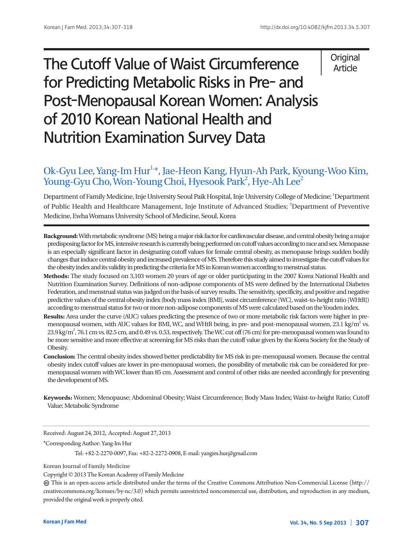# The Cutoff Value of Waist Circumference for Predicting Metabolic Risks in Pre- and Post-Menopausal Korean Women: Analysis of 2010 Korean National Health and Nutrition Examination Survey Data

# **Original** Article

# Ok-Gyu Lee, Yang-Im Hur<sup>1,\*</sup>, Jae-Heon Kang, Hyun-Ah Park, Kyoung-Woo Kim, Young-Gyu Cho, Won-Young Choi, Hyesook Park<sup>2</sup>, Hye-Ah Lee<sup>2</sup>

Department of Family Medicine, Inje University Seoul Paik Hospital, Inje University College of Medicine; <sup>1</sup>Department of Public Health and Healthcare Management, Inje Institute of Advanced Studies; <sup>2</sup>Department of Preventive Medicine, Ewha Womans University School of Medicine, Seoul, Korea

- **Background:** With metabolic syndrome (MS) being a major risk factor for cardiovascular disease, and central obesity being a major predisposing factor for MS, intensive research is currently being performed on cutoff values according to race and sex. Menopause is an especially significant factor in designating cutoff values for female central obesity, as menopause brings sudden bodily changes that induce central obesity and increased prevalence of MS. Therefore this study aimed to investigate the cutoff values for the obesity index and its validity in predicting the criteria for MS in Korean women according to menstrual status.
- **Methods:** The study focused on 3,103 women 20 years of age or older participating in the 2007 Korea National Health and Nutrition Examination Survey. Definitions of non-adipose components of MS were defined by the International Diabetes Federation, and menstrual status was judged on the basis of survey results. The sensitivity, specificity, and positive and negative predictive values of the central obesity index (body mass index [BMI], waist circumference [WC], waist-to-height ratio [WHtR]) according to menstrual status for two or more non-adipose components of MS were calculated based on the Youden index.
- **Results:** Area under the curve (AUC) values predicting the presence of two or more metabolic risk factors were higher in premenopausal women, with AUC values for BMI, WC, and WHtR being, in pre- and post-menopausal women, 23.1 kg/m<sup>2</sup> vs. 23.9 kg/m<sup>2</sup>, 76.1 cm vs. 82.5 cm, and 0.49 vs. 0.53, respectively. The WC cut off (76 cm) for pre-menopausal women was found to be more sensitive and more effective at screening for MS risks than the cutoff value given by the Korea Society for the Study of Obesity.
- **Conclusion:** The central obesity index showed better predictability for MS risk in pre-menopausal women. Because the central obesity index cutoff values are lower in pre-menopausal women, the possibility of metabolic risk can be considered for premenopausal women with WC lower than 85 cm. Assessment and control of other risks are needed accordingly for preventing the development of MS.
- **Keywords:** Women; Menopause; Abdominal Obesity; Waist Circumference; Body Mass Index; Waist-to-height Ratio; Cutoff Value; Metabolic Syndrome

Received: August 24, 2012, Accepted: August 27, 2013

\*Corresponding Author: Yang-Im Hur

Tel: +82-2-2270-0097, Fax: +82-2-2272-0908, E-mail: yangim.hur@gmail.com

Korean Journal of Family Medicine

Copyright © 2013 The Korean Academy of Family Medicine

 This is an open-access article distributed under the terms of the Creative Commons Attribution Non-Commercial License (http:// creativecommons.org/licenses/by-nc/3.0) which permits unrestricted noncommercial use, distribution, and reproduction in any medium, provided the original work is properly cited.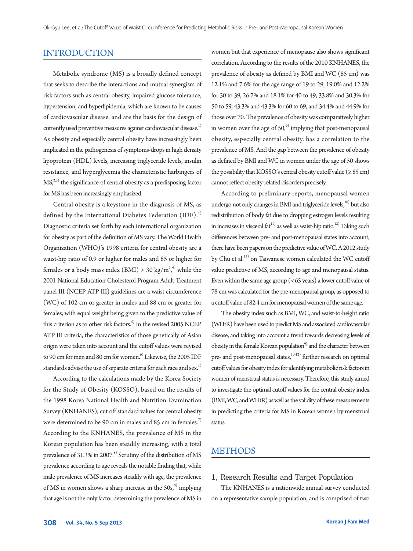# INTRODUCTION

Metabolic syndrome (MS) is a broadly defined concept that seeks to describe the interactions and mutual synergism of risk factors such as central obesity, impaired glucose tolerance, hypertension, and hyperlipidemia, which are known to be causes of cardiovascular disease, and are the basis for the design of currently used preventive measures against cardiovascular disease.<sup>1)</sup> As obesity and especially central obesity have increasingly been implicated in the pathogenesis of symptoms-drops in high density lipoprotein (HDL) levels, increasing triglyceride levels, insulin resistance, and hyperglycemia the characteristic harbingers of  $MS<sub>1</sub><sup>2,3</sup>$  the significance of central obesity as a predisposing factor for MS has been increasingly emphasized.

Central obesity is a keystone in the diagnosis of MS, as defined by the International Diabetes Federation  $(IDF)^{1}$ Diagnostic criteria set forth by each international organization for obesity as part of the definition of MS vary. The World Health Organization (WHO)'s 1998 criteria for central obesity are a waist-hip ratio of 0.9 or higher for males and 85 or higher for females or a body mass index (BMI) > 30 kg/m<sup>2,4)</sup> while the 2001 National Education Cholesterol Program Adult Treatment panel III (NCEP ATP III) guidelines are a waist circumference (WC) of 102 cm or greater in males and 88 cm or greater for females, with equal weight being given to the predictive value of this criterion as to other risk factors.<sup>5)</sup> In the revised 2005 NCEP ATP III criteria, the characteristics of those genetically of Asian origin were taken into account and the cutoff values were revised to 90 cm for men and 80 cm for women.<sup>6)</sup> Likewise, the 2005 IDF standards advise the use of separate criteria for each race and sex.<sup>1)</sup>

According to the calculations made by the Korea Society for the Study of Obesity (KOSSO), based on the results of the 1998 Korea National Health and Nutrition Examination Survey (KNHANES), cut off standard values for central obesity were determined to be 90 cm in males and 85 cm in females.<sup>7)</sup> According to the KNHANES, the prevalence of MS in the Korean population has been steadily increasing, with a total prevalence of  $31.3\%$  in 2007.<sup>8)</sup> Scrutiny of the distribution of MS prevalence according to age reveals the notable finding that, while male prevalence of MS increases steadily with age, the prevalence of MS in women shows a sharp increase in the  $50s<sub>0</sub><sup>8</sup>$  implying that age is not the only factor determining the prevalence of MS in

women but that experience of menopause also shows significant correlation. According to the results of the 2010 KNHANES, the prevalence of obesity as defined by BMI and WC (85 cm) was 12.1% and 7.6% for the age range of 19 to 29, 19.0% and 12.2% for 30 to 39, 26.7% and 18.1% for 40 to 49, 33.8% and 30.3% for 50 to 59, 43.3% and 43.3% for 60 to 69, and 34.4% and 44.9% for those over 70. The prevalence of obesity was comparatively higher in women over the age of  $50<sub>1</sub><sup>9</sup>$  implying that post-menopausal obesity, especially central obesity, has a correlation to the prevalence of MS. And the gap between the prevalence of obesity as defined by BMI and WC in women under the age of 50 shows the possibility that KOSSO's central obesity cutoff value ( $\geq 85$  cm) cannot reflect obesity-related disorders precisely.

According to preliminary reports, menopausal women undergo not only changes in BMI and triglyceride levels, $10$ ) but also redistribution of body fat due to dropping estrogen levels resulting in increases in visceral  $fat^{11}$  as well as waist-hip ratio.<sup>12)</sup> Taking such differences between pre- and post-menopausal states into account, there have been papers on the predictive value of WC. A 2012 study by Chu et al.13) on Taiwanese women calculated the WC cutoff value predictive of MS, according to age and menopausal status. Even within the same age group (<65 years) a lower cutoff value of 78 cm was calculated for the pre-menopausal group, as opposed to a cutoff value of 82.4 cm for menopausal women of the same age.

The obesity index such as BMI, WC, and waist-to-height ratio (WHtR) have been used to predict MS and associated cardiovascular disease, and taking into account a trend towards decreasing levels of obesity in the female Korean population $9)$  and the character between pre- and post-menopausal states, $10-12$ ) further research on optimal cutoff values for obesity index for identifying metabolic risk factors in women of menstrual status is necessary. Therefore, this study aimed to investigate the optimal cutoff values for the central obesity index (BMI, WC, and WHtR) as well as the validity of these measurements in predicting the criteria for MS in Korean women by menstrual status.

# **METHODS**

#### 1. Research Results and Target Population

The KNHANES is a nationwide annual survey conducted on a representative sample population, and is comprised of two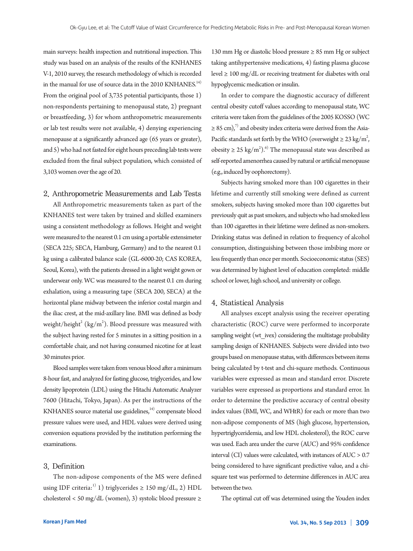main surveys: health inspection and nutritional inspection. This study was based on an analysis of the results of the KNHANES V-1, 2010 survey, the research methodology of which is recorded in the manual for use of source data in the 2010 KNHANES.<sup>14)</sup> From the original pool of 3,735 potential participants, those 1) non-respondents pertaining to menopausal state, 2) pregnant or breastfeeding, 3) for whom anthropometric measurements or lab test results were not available, 4) denying experiencing menopause at a significantly advanced age (65 years or greater), and 5) who had not fasted for eight hours preceding lab tests were excluded from the final subject population, which consisted of 3,103 women over the age of 20.

#### 2. Anthropometric Measurements and Lab Tests

All Anthropometric measurements taken as part of the KNHANES test were taken by trained and skilled examiners using a consistent methodology as follows. Height and weight were measured to the nearest 0.1 cm using a portable extensimeter (SECA 225; SECA, Hamburg, Germany) and to the nearest 0.1 kg using a calibrated balance scale (GL-6000-20; CAS KOREA, Seoul, Korea), with the patients dressed in a light weight gown or underwear only. WC was measured to the nearest 0.1 cm during exhalation, using a measuring tape (SECA 200, SECA) at the horizontal plane midway between the inferior costal margin and the iliac crest, at the mid-axillary line. BMI was defined as body weight/height $\textsuperscript{2}$  (kg/m<sup>2</sup>). Blood pressure was measured with the subject having rested for 5 minutes in a sitting position in a comfortable chair, and not having consumed nicotine for at least 30 minutes prior.

Blood samples were taken from venous blood after a minimum 8-hour fast, and analyzed for fasting glucose, triglycerides, and low density lipoprotein (LDL) using the Hitachi Automatic Analyzer 7600 (Hitachi, Tokyo, Japan). As per the instructions of the KNHANES source material use guidelines, $14$ ) compensate blood pressure values were used, and HDL values were derived using conversion equations provided by the institution performing the examinations.

## 3. Definition

The non-adipose components of the MS were defined using IDF criteria:<sup>1)</sup> 1) triglycerides  $\geq$  150 mg/dL, 2) HDL cholesterol < 50 mg/dL (women), 3) systolic blood pressure ≥

130 mm Hg or diastolic blood pressure ≥ 85 mm Hg or subject taking antihypertensive medications, 4) fasting plasma glucose level ≥ 100 mg/dL or receiving treatment for diabetes with oral hypoglycemic medication or insulin.

In order to compare the diagnostic accuracy of different central obesity cutoff values according to menopausal state, WC criteria were taken from the guidelines of the 2005 KOSSO (WC  $\geq$  85 cm),<sup>7)</sup> and obesity index criteria were derived from the Asia-Pacific standards set forth by the WHO (overweight  $\geq 23 \text{ kg/m}^2$ , obesity  $\geq 25 \text{ kg/m}^2$ .<sup>6)</sup> The menopausal state was described as self-reported amenorrhea caused by natural or artificial menopause (e.g., induced by oophorectomy).

Subjects having smoked more than 100 cigarettes in their lifetime and currently still smoking were defined as current smokers, subjects having smoked more than 100 cigarettes but previously quit as past smokers, and subjects who had smoked less than 100 cigarettes in their lifetime were defined as non-smokers. Drinking status was defined in relation to frequency of alcohol consumption, distinguishing between those imbibing more or less frequently than once per month. Socioeconomic status (SES) was determined by highest level of education completed: middle school or lower, high school, and university or college.

#### 4. Statistical Analysis

All analyses except analysis using the receiver operating characteristic (ROC) curve were performed to incorporate sampling weight (wt ivex) considering the multistage probability sampling design of KNHANES. Subjects were divided into two groups based on menopause status, with differences between items being calculated by t-test and chi-square methods. Continuous variables were expressed as mean and standard error. Discrete variables were expressed as proportions and standard error. In order to determine the predictive accuracy of central obesity index values (BMI, WC, and WHtR) for each or more than two non-adipose components of MS (high glucose, hypertension, hypertriglyceridemia, and low HDL cholesterol), the ROC curve was used. Each area under the curve (AUC) and 95% confidence interval  $\text{(CI)}$  values were calculated, with instances of AUC  $> 0.7$ being considered to have significant predictive value, and a chisquare test was performed to determine differences in AUC area between the two.

The optimal cut off was determined using the Youden index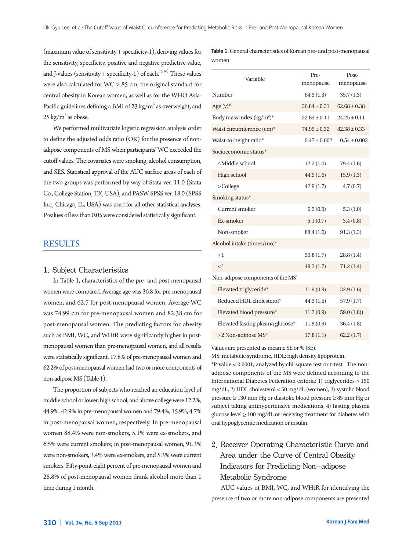(maximum value of sensitivity + specificity-1), deriving values for the sensitivity, specificity, positive and negative predictive value, and J-values (sensitivity + specificity-1) of each.<sup>15,16)</sup> These values were also calculated for WC > 85 cm, the original standard for central obesity in Korean women, as well as for the WHO Asia-Pacific guidelines defining a BMI of 23 kg/m<sup>2</sup> as overweight, and  $25 \text{ kg/m}^2$  as obese.

We performed multivariate logistic regression analysis order to define the adjusted odds ratio (OR) for the presence of nonadipose components of MS when participants' WC exceeded the cutoff values. The covariates were smoking, alcohol consumption, and SES. Statistical approval of the AUC surface areas of each of the two groups was performed by way of Stata ver. 11.0 (Stata Co., College Station, TX, USA), and PASW SPSS ver. 18.0 (SPSS Inc., Chicago, IL, USA) was used for all other statistical analyses. P-values of less than 0.05 were considered statistically significant.

## **RESULTS**

#### 1. Subject Characteristics

In Table 1, characteristics of the pre- and post-menopausal women were compared. Average age was 36.8 for pre-menopausal women, and 62.7 for post-menopausal women. Average WC was 74.99 cm for pre-menopausal women and 82.38 cm for post-menopausal women. The predicting factors for obesity such as BMI, WC, and WHtR were significantly higher in postmenopausal women than pre-menopausal women, and all results were statistically significant. 17.8% of pre-menopausal women and 62.2% of post-menopausal women had two or more components of non-adipose MS (Table 1).

The proportion of subjects who reached an education level of middle school or lower, high school, and above college were 12.2%, 44.9%, 42.9% in pre-menopausal women and 79.4%, 15.9%, 4.7% in post-menopausal women, respectively. In pre-menopausal women 88.4% were non-smokers, 5.1% were ex-smokers, and 6.5% were current smokers; in post-menopausal women, 91.3% were non-smokers, 3.4% were ex-smokers, and 5.3% were current smokers. Fifty-point-eight percent of pre-menopausal women and 28.8% of post-menopausal women drank alcohol more than 1 time during 1 month.

Table 1. General characteristics of Korean pre- and post-menopausal women

| Variable                                                                | Pre-             | Post-            |  |
|-------------------------------------------------------------------------|------------------|------------------|--|
|                                                                         | menopause        | menopause        |  |
| Number                                                                  | 64.3(1.3)        | 35.7(1.3)        |  |
| Age $(y)^*$                                                             | $36.84 \pm 0.31$ | $62.68 \pm 0.38$ |  |
| Body mass index $(kg/m^2)^*$                                            | $22.63 \pm 0.11$ | $24.25 \pm 0.11$ |  |
| Waist circumference (cm)*                                               | $74.99 \pm 0.32$ | $82.38 \pm 0.33$ |  |
| Waist-to-height ratio*                                                  | $0.47 \pm 0.002$ | $0.54 \pm 0.002$ |  |
| Socioeconomic status*                                                   |                  |                  |  |
| <middle school<="" td=""><td>12.2(1.0)</td><td>79.4 (1.6)</td></middle> | 12.2(1.0)        | 79.4 (1.6)       |  |
| High school                                                             | 44.9(1.6)        | 15.9(1.3)        |  |
| $>$ College                                                             | 42.9(1.7)        | 4.7(0.7)         |  |
| Smoking status*                                                         |                  |                  |  |
| Current smoker                                                          | 6.5(0.9)         | 5.3(1.0)         |  |
| Ex-smoker                                                               | 5.1(0.7)         | 3.4(0.8)         |  |
| Non-smoker                                                              | 88.4 (1.0)       | 91.3(1.3)        |  |
| Alcohol intake (times/mo)*                                              |                  |                  |  |
| $\geq$ 1                                                                | 50.8(1.7)        | 28.8 (1.4)       |  |
| $\leq$ 1                                                                | 49.2(1.7)        | 71.2(1.4)        |  |
| Non-adipose components of the MS <sup>†</sup>                           |                  |                  |  |
| Elevated triglyceride*                                                  | 11.9(0.9)        | 32.9(1.6)        |  |
| Reduced HDL cholesterol*                                                | 44.3(1.5)        | 57.9(1.7)        |  |
| Elevated blood pressure*                                                | 11.2(0.9)        | 59.0 $(1.8)$     |  |
| Elevated fasting plasma glucose*                                        | 11.8(0.9)        | 36.4(1.8)        |  |
| $\geq$ 2 Non-adipose MS*                                                | 17.8(1.1)        | 62.2(1.7)        |  |

Values are presented as mean ± SE or % (SE).

MS: metabolic syndrome, HDL: high density lipoprotein.

\*P-value < 0.0001, analyzed by chi-square test or t-test. † The nonadipose components of the MS were defined according to the International Diabetes Federation criteria: 1) triglycerides ≥ 150 mg/dL, 2) HDL cholesterol < 50 mg/dL (women), 3) systolic blood pressure ≥ 130 mm Hg or diastolic blood pressure ≥ 85 mm Hg or subject taking antihypertensive medications, 4) fasting plasma glucose level  $\geq 100 \text{ mg/dL}$  or receiving treatment for diabetes with oral hypoglycemic medication or insulin.

# 2. Receiver Operating Characteristic Curve and Area under the Curve of Central Obesity Indicators for Predicting Non-adipose Metabolic Syndrome

AUC values of BMI, WC, and WHtR for identifying the presence of two or more non-adipose components are presented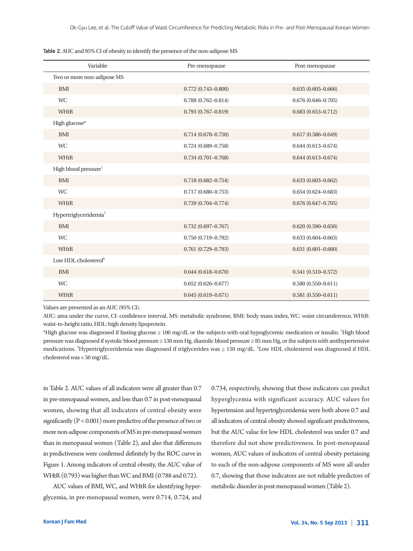| Table 2. AUC and 95% CI of obesity to identify the presence of the non-adipose MS |  |  |
|-----------------------------------------------------------------------------------|--|--|
|                                                                                   |  |  |

| Variable                          | Pre-menopause          | Post-menopause         |
|-----------------------------------|------------------------|------------------------|
| Two or more non-adipose MS        |                        |                        |
| <b>BMI</b>                        | $0.772(0.743 - 0.800)$ | $0.635(0.605 - 0.666)$ |
| <b>WC</b>                         | $0.788(0.762 - 0.814)$ | $0.676(0.646 - 0.705)$ |
| WHtR                              | $0.793(0.767 - 0.819)$ | $0.683(0.653 - 0.712)$ |
| High glucose*                     |                        |                        |
| <b>BMI</b>                        | $0.714(0.678 - 0.750)$ | $0.617(0.586 - 0.649)$ |
| <b>WC</b>                         | $0.724(0.689 - 0.758)$ | $0.644(0.613 - 0.674)$ |
| WHtR                              | $0.734(0.701 - 0.768)$ | $0.644(0.613 - 0.674)$ |
| High blood pressure <sup>†</sup>  |                        |                        |
| <b>BMI</b>                        | $0.718(0.682 - 0.754)$ | $0.633(0.603 - 0.662)$ |
| <b>WC</b>                         | $0.717(0.680 - 0.753)$ | $0.654(0.624 - 0.683)$ |
| WHtR                              | $0.739(0.704 - 0.774)$ | $0.676(0.647 - 0.705)$ |
| Hypertriglyceridemia <sup>#</sup> |                        |                        |
| <b>BMI</b>                        | $0.732(0.697 - 0.767)$ | $0.620(0.590 - 0.650)$ |
| <b>WC</b>                         | $0.750(0.719 - 0.792)$ | $0.633(0.604 - 0.663)$ |
| WHtR                              | $0.761(0.729 - 0.793)$ | $0.631(0.601 - 0.660)$ |
| Low HDL cholesterol <sup>§</sup>  |                        |                        |
| <b>BMI</b>                        | $0.644(0.618 - 0.670)$ | $0.541(0.510 - 0.572)$ |
| <b>WC</b>                         | $0.652(0.626 - 0.677)$ | $0.580(0.550 - 0.611)$ |
| WHtR                              | $0.645(0.619 - 0.671)$ | $0.581(0.550 - 0.611)$ |

Values are presented as an AUC (95% CI).

AUC: area under the curve, CI: confidence interval, MS: metabolic syndrome, BMI: body mass index, WC: waist circumference, WHtR: waist-to-height ratio, HDL: high density lipoprotein.

\*High glucose was diagnosed if fasting glucose ≥ 100 mg/dL or the subjects with oral hypoglycemic medication or insulin. † High blood pressure was diagnosed if systolic blood pressure ≥ 130 mm Hg, diastolic blood pressure ≥ 85 mm Hg, or the subjects with antihypertensive medications. <sup>‡</sup>Hypertriglyceridemia was diagnosed if triglycerides was ≥ 150 mg/dL. <sup>\$</sup>Low HDL cholesterol was diagnosed if HDL cholesterol was < 50 mg/dL.

in Table 2. AUC values of all indicators were all greater than 0.7 in pre-menopausal women, and less than 0.7 in post-menopausal women, showing that all indicators of central obesity were significantly (P < 0.001) more predictive of the presence of two or more non-adipose components of MS in pre-menopausal women than in menopausal women (Table 2), and also that differences in predictiveness were confirmed definitely by the ROC curve in Figure 1. Among indicators of central obesity, the AUC value of WHtR (0.793) was higher than WC and BMI (0.788 and 0.72).

AUC values of BMI, WC, and WHtR for identifying hyperglycemia, in pre-menopausal women, were 0.714, 0.724, and 0.734, respectively, showing that these indicators can predict hyperglycemia with significant accuracy. AUC values for hypertension and hypertriglyceridemia were both above 0.7 and all indicators of central obesity showed significant predictiveness, but the AUC value for low HDL cholesterol was under 0.7 and therefore did not show predictiveness. In post-menopausal women, AUC values of indicators of central obesity pertaining to each of the non-adipose components of MS were all under 0.7, showing that those indicators are not reliable predictors of metabolic disorder in post-menopausal women (Table 2).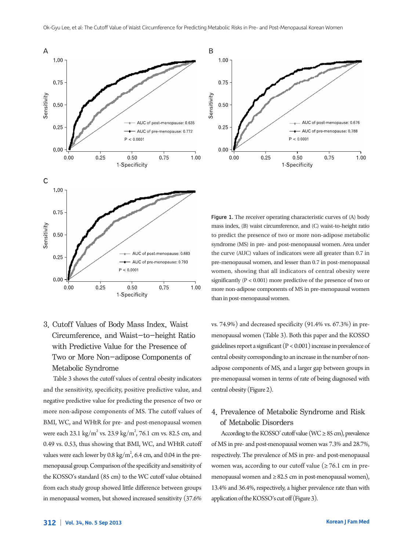

3. Cutoff Values of Body Mass Index, Waist Circumference, and Waist-to-height Ratio with Predictive Value for the Presence of Two or More Non-adipose Components of Metabolic Syndrome

Table 3 shows the cutoff values of central obesity indicators and the sensitivity, specificity, positive predictive value, and negative predictive value for predicting the presence of two or more non-adipose components of MS. The cutoff values of BMI, WC, and WHtR for pre- and post-menopausal women were each 23.1 kg/m<sup>2</sup> vs. 23.9 kg/m<sup>2</sup>, 76.1 cm vs. 82.5 cm, and 0.49 vs. 0.53, thus showing that BMI, WC, and WHtR cutoff values were each lower by 0.8 kg/m<sup>2</sup>, 6.4 cm, and 0.04 in the premenopausal group. Comparison of the specificity and sensitivity of the KOSSO's standard (85 cm) to the WC cutoff value obtained from each study group showed little difference between groups in menopausal women, but showed increased sensitivity (37.6%



Figure 1. The receiver operating characteristic curves of (A) body mass index, (B) waist circumference, and (C) waist-to-height ratio to predict the presence of two or more non-adipose metabolic syndrome (MS) in pre- and post-menopausal women. Area under the curve (AUC) values of indicators were all greater than 0.7 in pre-menopausal women, and lesser than 0.7 in post-menopausal women, showing that all indicators of central obesity were significantly (P < 0.001) more predictive of the presence of two or more non-adipose components of MS in pre-menopausal women than in post-menopausal women.

vs. 74.9%) and decreased specificity (91.4% vs. 67.3%) in premenopausal women (Table 3). Both this paper and the KOSSO guidelines report a significant (P < 0.001) increase in prevalence of central obesity corresponding to an increase in the number of nonadipose components of MS, and a larger gap between groups in pre-menopausal women in terms of rate of being diagnosed with central obesity (Figure 2).

# 4. Prevalence of Metabolic Syndrome and Risk of Metabolic Disorders

According to the KOSSO' cutoff value (WC  $\geq$  85 cm), prevalence of MS in pre- and post-menopausal women was 7.3% and 28.7%, respectively. The prevalence of MS in pre- and post-menopausal women was, according to our cutoff value ( $\geq 76.1$  cm in premenopausal women and  $\geq$  82.5 cm in post-menopausal women), 13.4% and 36.4%, respectively, a higher prevalence rate than with application of the KOSSO's cut off (Figure 3).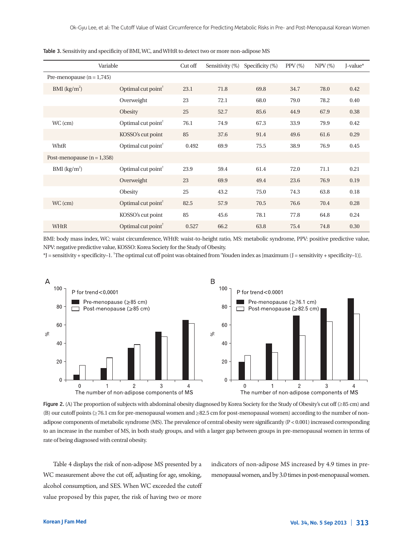| Variable                     |                                | Cut off | Sensitivity (%) | Specificity $(\%)$ | $PPV(\%)$ | $NPV$ (%) | J-value* |
|------------------------------|--------------------------------|---------|-----------------|--------------------|-----------|-----------|----------|
| Pre-menopause $(n = 1,745)$  |                                |         |                 |                    |           |           |          |
| $BMI$ (kg/m <sup>2</sup> )   | Optimal cut point <sup>†</sup> | 23.1    | 71.8            | 69.8               | 34.7      | 78.0      | 0.42     |
|                              | Overweight                     | 23      | 72.1            | 68.0               | 79.0      | 78.2      | 0.40     |
|                              | Obesity                        | 25      | 52.7            | 85.6               | 44.9      | 67.9      | 0.38     |
| WC (cm)                      | Optimal cut point <sup>†</sup> | 76.1    | 74.9            | 67.3               | 33.9      | 79.9      | 0.42     |
|                              | KOSSO's cut point              | 85      | 37.6            | 91.4               | 49.6      | 61.6      | 0.29     |
| WhtR                         | Optimal cut point              | 0.492   | 69.9            | 75.5               | 38.9      | 76.9      | 0.45     |
| Post-menopause $(n = 1,358)$ |                                |         |                 |                    |           |           |          |
| BMI $(kg/m^2)$               | Optimal cut point <sup>†</sup> | 23.9    | 59.4            | 61.4               | 72.0      | 71.1      | 0.21     |
|                              | Overweight                     | 23      | 69.9            | 49.4               | 23.6      | 76.9      | 0.19     |
|                              | Obesity                        | 25      | 43.2            | 75.0               | 74.3      | 63.8      | 0.18     |
| $WC$ (cm)                    | Optimal cut point <sup>†</sup> | 82.5    | 57.9            | 70.5               | 76.6      | 70.4      | 0.28     |
|                              | KOSSO's cut point              | 85      | 45.6            | 78.1               | 77.8      | 64.8      | 0.24     |
| WHtR                         | Optimal cut point <sup>†</sup> | 0.527   | 66.2            | 63.8               | 75.4      | 74.8      | 0.30     |

Table 3. Sensitivity and specificity of BMI, WC, and WHtR to detect two or more non-adipose MS

BMI: body mass index, WC: waist circumference, WHtR: waist-to-height ratio, MS: metabolic syndrome, PPV: positive predictive value, NPV: negative predictive value, KOSSO: Korea Society for the Study of Obesity.

 $*J$  = sensitivity + specificity–1. The optimal cut off point was obtained from 'Youden index as [maximum (J = sensitivity + specificity–1)].



Figure 2. (A) The proportion of subjects with abdominal obesity diagnosed by Korea Society for the Study of Obesity's cut off (≥85 cm) and (B) our cutoff points (≥76.1 cm for pre-menopausal women and ≥82.5 cm for post-menopausal women) according to the number of nonadipose components of metabolic syndrome (MS). The prevalence of central obesity were significantly (P < 0.001) increased corresponding to an increase in the number of MS, in both study groups, and with a larger gap between groups in pre-menopausal women in terms of rate of being diagnosed with central obesity.

Table 4 displays the risk of non-adipose MS presented by a WC measurement above the cut off, adjusting for age, smoking, alcohol consumption, and SES. When WC exceeded the cutoff value proposed by this paper, the risk of having two or more indicators of non-adipose MS increased by 4.9 times in premenopausal women, and by 3.0 times in post-menopausal women.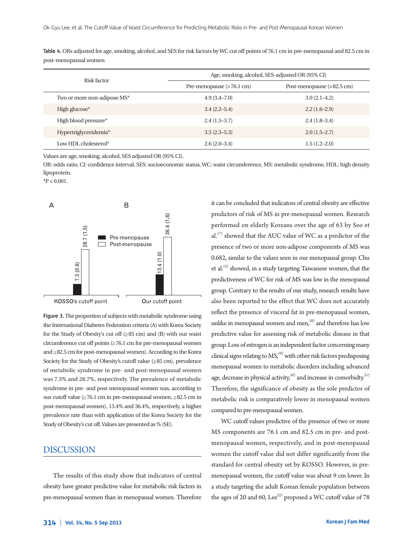| Risk factor                 | Age, smoking, alcohol, SES-adjusted OR (95% CI) |                                     |  |  |
|-----------------------------|-------------------------------------------------|-------------------------------------|--|--|
|                             | Pre-menopause (>76.1 cm)                        | Post-menopause $(>82.5 \text{ cm})$ |  |  |
| Two or more non-adipose MS* | $4.9(3.4 - 7.0)$                                | $3.0(2.1-4.2)$                      |  |  |
| High glucose*               | $3.4(2.2 - 5.4)$                                | $2.2(1.6-2.9)$                      |  |  |
| High blood pressure*        | $2.4(1.5-3.7)$                                  | $2.4(1.8-3.4)$                      |  |  |
| Hypertriglyceridemia*       | $3.5(2.3-5.3)$                                  | $2.0(1.5-2.7)$                      |  |  |
| Low HDL cholesterol*        | $2.6(2.0-3.4)$                                  | $1.5(1.2 - 2.0)$                    |  |  |

Table 4. ORs adjusted for age, smoking, alcohol, and SES for risk factors by WC cut off points of 76.1 cm in pre-menopausal and 82.5 cm in post-menopausal women

Values are age, smoking, alcohol, SES adjusted OR (95% CI).

OR: odds ratio, CI: confidence interval, SES: socioeconomic status, WC: waist circumference, MS: metabolic syndrome, HDL: high density lipoprotein.

 $*P < 0.001$ .



Figure 3. The proportion of subjects with metabolic syndrome using the International Diabetes Federation criteria (A) with Korea Society for the Study of Obesity's cut off  $(\geq 85 \text{ cm})$  and  $(B)$  with our waist circumference cut off points (≥76.1 cm for pre-menopausal women and ≥82.5 cm for post-menopausal women). According to the Korea Society for the Study of Obesity's cutoff value (≥85 cm), prevalence of metabolic syndrome in pre- and post-menopausal women was 7.3% and 28.7%, respectively. The prevalence of metabolic syndrome in pre- and post-menopausal women was, according to our cutoff value (≥76.1 cm in pre-menopausal women, ≥82.5 cm in post-menopausal women), 13.4% and 36.4%, respectively, a higher prevalence rate than with application of the Korea Society for the Study of Obesity's cut off. Values are presented as % (SE).

# DISCUSSION

The results of this study show that indicators of central obesity have greater predictive value for metabolic risk factors in pre-menopausal women than in menopausal women. Therefore it can be concluded that indicators of central obesity are effective predictors of risk of MS in pre-menopausal women. Research performed on elderly Koreans over the age of 63 by Seo et al.<sup>17)</sup> showed that the AUC value of WC as a predictor of the presence of two or more non-adipose components of MS was 0.682, similar to the values seen in our menopausal group. Chu et al.13) showed, in a study targeting Taiwanese women, that the predictiveness of WC for risk of MS was low in the menopausal group. Contrary to the results of our study, research results have also been reported to the effect that WC does not accurately reflect the presence of visceral fat in pre-menopausal women, unlike in menopausal women and men, $18$ ) and therefore has low predictive value for assessing risk of metabolic disease in that group. Loss of estrogen is an independent factor concerning many clinical signs relating to  $MS<sub>19)</sub>$  with other risk factors predisposing menopausal women to metabolic disorders including advanced age, decrease in physical activity,<sup>20)</sup> and increase in comorbidty.<sup>21)</sup> Therefore, the significance of obesity as the sole predictor of metabolic risk is comparatively lower in menopausal women compared to pre-menopausal women.

WC cutoff values predictive of the presence of two or more MS components are 76.1 cm and 82.5 cm in pre- and postmenopausal women, respectively, and in post-menopausal women the cutoff value did not differ significantly from the standard for central obesity set by KOSSO. However, in premenopausal women, the cutoff value was about 9 cm lower. In a study targeting the adult Korean female population between the ages of 20 and 60, Lee<sup>22)</sup> proposed a WC cutoff value of 78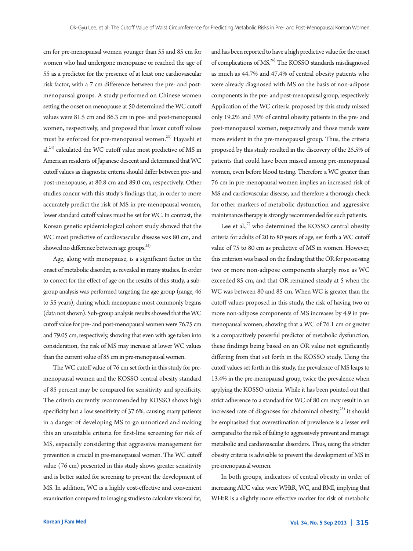cm for pre-menopausal women younger than 55 and 85 cm for women who had undergone menopause or reached the age of 55 as a predictor for the presence of at least one cardiovascular risk factor, with a 7 cm difference between the pre- and postmenopausal groups. A study performed on Chinese women setting the onset on menopause at 50 determined the WC cutoff values were 81.5 cm and 86.3 cm in pre- and post-menopausal women, respectively, and proposed that lower cutoff values must be enforced for pre-menopausal women.<sup>23)</sup> Hayashi et al.<sup>24)</sup> calculated the WC cutoff value most predictive of MS in American residents of Japanese descent and determined that WC cutoff values as diagnostic criteria should differ between pre- and post-menopause, at 80.8 cm and 89.0 cm, respectively. Other studies concur with this study's findings that, in order to more accurately predict the risk of MS in pre-menopausal women, lower standard cutoff values must be set for WC. In contrast, the Korean genetic epidemiological cohort study showed that the WC most predictive of cardiovascular disease was 80 cm, and showed no difference between age groups.<sup>25)</sup>

Age, along with menopause, is a significant factor in the onset of metabolic disorder, as revealed in many studies. In order to correct for the effect of age on the results of this study, a subgroup analysis was performed targeting the age group (range, 46 to 55 years), during which menopause most commonly begins (data not shown). Sub-group analysis results showed that the WC cutoff value for pre- and post-menopausal women were 76.75 cm and 79.05 cm, respectively, showing that even with age taken into consideration, the risk of MS may increase at lower WC values than the current value of 85 cm in pre-menopausal women.

The WC cutoff value of 76 cm set forth in this study for premenopausal women and the KOSSO central obesity standard of 85 percent may be compared for sensitivity and specificity. The criteria currently recommended by KOSSO shows high specificity but a low sensitivity of 37.6%, causing many patients in a danger of developing MS to go unnoticed and making this an unsuitable criteria for first-line screening for risk of MS, especially considering that aggressive management for prevention is crucial in pre-menopausal women. The WC cutoff value (76 cm) presented in this study shows greater sensitivity and is better suited for screening to prevent the development of MS. In addition, WC is a highly cost-effective and convenient examination compared to imaging studies to calculate visceral fat,

and has been reported to have a high predictive value for the onset of complications of MS.26) The KOSSO standards misdiagnosed as much as 44.7% and 47.4% of central obesity patients who were already diagnosed with MS on the basis of non-adipose components in the pre- and post-menopausal group, respectively. Application of the WC criteria proposed by this study missed only 19.2% and 33% of central obesity patients in the pre- and post-menopausal women, respectively and those trends were more evident in the pre-menopausal group. Thus, the criteria proposed by this study resulted in the discovery of the 25.5% of patients that could have been missed among pre-menopausal women, even before blood testing. Therefore a WC greater than 76 cm in pre-menopausal women implies an increased risk of MS and cardiovascular disease, and therefore a thorough check for other markers of metabolic dysfunction and aggressive maintenance therapy is strongly recommended for such patients.

Lee et al., $7$  who determined the KOSSO central obesity criteria for adults of 20 to 80 years of age, set forth a WC cutoff value of 75 to 80 cm as predictive of MS in women. However, this criterion was based on the finding that the OR for possessing two or more non-adipose components sharply rose as WC exceeded 85 cm, and that OR remained steady at 5 when the WC was between 80 and 85 cm. When WC is greater than the cutoff values proposed in this study, the risk of having two or more non-adipose components of MS increases by 4.9 in premenopausal women, showing that a WC of 76.1 cm or greater is a comparatively powerful predictor of metabolic dysfunction, these findings being based on an OR value not significantly differing from that set forth in the KOSSO study. Using the cutoff values set forth in this study, the prevalence of MS leaps to 13.4% in the pre-menopausal group, twice the prevalence when applying the KOSSO criteria. While it has been pointed out that strict adherence to a standard for WC of 80 cm may result in an increased rate of diagnoses for abdominal obesity, $25$ ) it should be emphasized that overestimation of prevalence is a lesser evil compared to the risk of failing to aggressively prevent and manage metabolic and cardiovascular disorders. Thus, using the stricter obesity criteria is advisable to prevent the development of MS in pre-menopausal women.

In both groups, indicators of central obesity in order of increasing AUC value were WHtR, WC, and BMI, implying that WHtR is a slightly more effective marker for risk of metabolic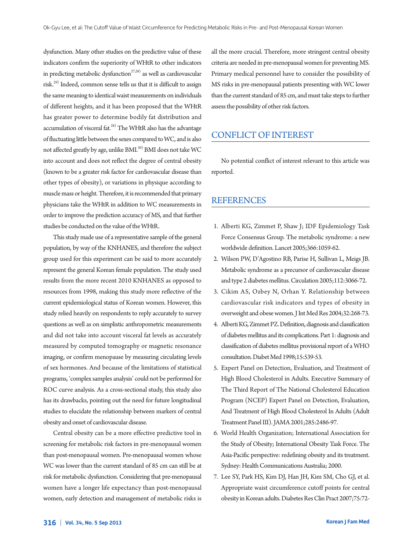dysfunction. Many other studies on the predictive value of these indicators confirm the superiority of WHtR to other indicators in predicting metabolic dysfunction<sup>27,28)</sup> as well as cardiovascular risk.29) Indeed, common sense tells us that it is difficult to assign the same meaning to identical waist measurements on individuals of different heights, and it has been proposed that the WHtR has greater power to determine bodily fat distribution and accumulation of visceral fat.<sup>28)</sup> The WHtR also has the advantage of fluctuating little between the sexes compared to WC, and is also not affected greatly by age, unlike BMI.<sup>30)</sup> BMI does not take WC into account and does not reflect the degree of central obesity (known to be a greater risk factor for cardiovascular disease than other types of obesity), or variations in physique according to muscle mass or height. Therefore, it is recommended that primary physicians take the WHtR in addition to WC measurements in order to improve the prediction accuracy of MS, and that further studies be conducted on the value of the WHtR.

This study made use of a representative sample of the general population, by way of the KNHANES, and therefore the subject group used for this experiment can be said to more accurately represent the general Korean female population. The study used results from the more recent 2010 KNHANES as opposed to resources from 1998, making this study more reflective of the current epidemiological status of Korean women. However, this study relied heavily on respondents to reply accurately to survey questions as well as on simplistic anthropometric measurements and did not take into account visceral fat levels as accurately measured by computed tomography or magnetic resonance imaging, or confirm menopause by measuring circulating levels of sex hormones. And because of the limitations of statistical programs, 'complex samples analysis' could not be performed for ROC curve analysis. As a cross-sectional study, this study also has its drawbacks, pointing out the need for future longitudinal studies to elucidate the relationship between markers of central obesity and onset of cardiovascular disease.

Central obesity can be a more effective predictive tool in screening for metabolic risk factors in pre-menopausal women than post-menopausal women. Pre-menopausal women whose WC was lower than the current standard of 85 cm can still be at risk for metabolic dysfunction. Considering that pre-menopausal women have a longer life expectancy than post-menopausal women, early detection and management of metabolic risks is

all the more crucial. Therefore, more stringent central obesity criteria are needed in pre-menopausal women for preventing MS. Primary medical personnel have to consider the possibility of MS risks in pre-menopausal patients presenting with WC lower than the current standard of 85 cm, and must take steps to further assess the possibility of other risk factors.

# CONFLICT OF INTEREST

No potential conflict of interest relevant to this article was reported.

# REFERENCES

- 1. Alberti KG, Zimmet P, Shaw J; IDF Epidemiology Task Force Consensus Group. The metabolic syndrome: a new worldwide definition. Lancet 2005;366:1059-62.
- 2. Wilson PW, D'Agostino RB, Parise H, Sullivan L, Meigs JB. Metabolic syndrome as a precursor of cardiovascular disease and type 2 diabetes mellitus. Circulation 2005;112:3066-72.
- 3. Cikim AS, Ozbey N, Orhan Y. Relationship between cardiovascular risk indicators and types of obesity in overweight and obese women. J Int Med Res 2004;32:268-73.
- 4. Alberti KG, Zimmet PZ. Definition, diagnosis and classification of diabetes mellitus and its complications. Part 1: diagnosis and classification of diabetes mellitus provisional report of a WHO consultation. Diabet Med 1998;15:539-53.
- 5. Expert Panel on Detection, Evaluation, and Treatment of High Blood Cholesterol in Adults. Executive Summary of The Third Report of The National Cholesterol Education Program (NCEP) Expert Panel on Detection, Evaluation, And Treatment of High Blood Cholesterol In Adults (Adult Treatment Panel III). JAMA 2001;285:2486-97.
- 6. World Health Organization; International Association for the Study of Obesity; International Obesity Task Force. The Asia-Pacific perspective: redefining obesity and its treatment. Sydney: Health Communications Australia; 2000.
- 7. Lee SY, Park HS, Kim DJ, Han JH, Kim SM, Cho GJ, et al. Appropriate waist circumference cutoff points for central obesity in Korean adults. Diabetes Res Clin Pract 2007;75:72-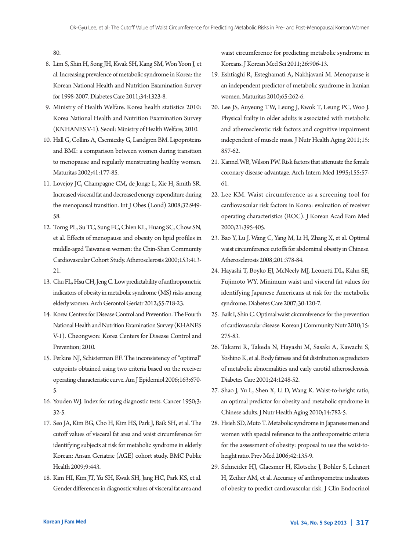80.

- 8. Lim S, Shin H, Song JH, Kwak SH, Kang SM, Won Yoon J, et al. Increasing prevalence of metabolic syndrome in Korea: the Korean National Health and Nutrition Examination Survey for 1998-2007. Diabetes Care 2011;34:1323-8.
- 9. Ministry of Health Welfare. Korea health statistics 2010: Korea National Health and Nutrition Examination Survey (KNHANES V-1). Seoul: Ministry of Health Welfare; 2010.
- 10. Hall G, Collins A, Csemiczky G, Landgren BM. Lipoproteins and BMI: a comparison between women during transition to menopause and regularly menstruating healthy women. Maturitas 2002;41:177-85.
- 11. Lovejoy JC, Champagne CM, de Jonge L, Xie H, Smith SR. Increased visceral fat and decreased energy expenditure during the menopausal transition. Int J Obes (Lond) 2008;32:949- 58.
- 12. Torng PL, Su TC, Sung FC, Chien KL, Huang SC, Chow SN, et al. Effects of menopause and obesity on lipid profiles in middle-aged Taiwanese women: the Chin-Shan Community Cardiovascular Cohort Study. Atherosclerosis 2000;153:413- 21.
- 13. Chu FL, Hsu CH, Jeng C. Low predictability of anthropometric indicators of obesity in metabolic syndrome (MS) risks among elderly women. Arch Gerontol Geriatr 2012;55:718-23.
- 14. Korea Centers for Disease Control and Prevention. The Fourth National Health and Nutrition Examination Survey (KHANES V-1). Cheongwon: Korea Centers for Disease Control and Prevention; 2010.
- 15. Perkins NJ, Schisterman EF. The inconsistency of "optimal" cutpoints obtained using two criteria based on the receiver operating characteristic curve. Am J Epidemiol 2006;163:670- 5.
- 16. Youden WJ. Index for rating diagnostic tests. Cancer 1950;3: 32-5.
- 17. Seo JA, Kim BG, Cho H, Kim HS, Park J, Baik SH, et al. The cutoff values of visceral fat area and waist circumference for identifying subjects at risk for metabolic syndrome in elderly Korean: Ansan Geriatric (AGE) cohort study. BMC Public Health 2009;9:443.
- 18. Kim HI, Kim JT, Yu SH, Kwak SH, Jang HC, Park KS, et al. Gender differences in diagnostic values of visceral fat area and

waist circumference for predicting metabolic syndrome in Koreans. J Korean Med Sci 2011;26:906-13.

- 19. Eshtiaghi R, Esteghamati A, Nakhjavani M. Menopause is an independent predictor of metabolic syndrome in Iranian women. Maturitas 2010;65:262-6.
- 20. Lee JS, Auyeung TW, Leung J, Kwok T, Leung PC, Woo J. Physical frailty in older adults is associated with metabolic and atherosclerotic risk factors and cognitive impairment independent of muscle mass. J Nutr Health Aging 2011;15: 857-62.
- 21. Kannel WB, Wilson PW. Risk factors that attenuate the female coronary disease advantage. Arch Intern Med 1995;155:57- 61.
- 22. Lee KM. Waist circumference as a screening tool for cardiovascular risk factors in Korea: evaluation of receiver operating characteristics (ROC). J Korean Acad Fam Med 2000;21:395-405.
- 23. Bao Y, Lu J, Wang C, Yang M, Li H, Zhang X, et al. Optimal waist circumference cutoffs for abdominal obesity in Chinese. Atherosclerosis 2008;201:378-84.
- 24. Hayashi T, Boyko EJ, McNeely MJ, Leonetti DL, Kahn SE, Fujimoto WY. Minimum waist and visceral fat values for identifying Japanese Americans at risk for the metabolic syndrome. Diabetes Care 2007;30:120-7.
- 25. Baik I, Shin C. Optimal waist circumference for the prevention of cardiovascular disease. Korean J Community Nutr 2010;15: 275-83.
- 26. Takami R, Takeda N, Hayashi M, Sasaki A, Kawachi S, Yoshino K, et al. Body fatness and fat distribution as predictors of metabolic abnormalities and early carotid atherosclerosis. Diabetes Care 2001;24:1248-52.
- 27. Shao J, Yu L, Shen X, Li D, Wang K. Waist-to-height ratio, an optimal predictor for obesity and metabolic syndrome in Chinese adults. J Nutr Health Aging 2010;14:782-5.
- 28. Hsieh SD, Muto T. Metabolic syndrome in Japanese men and women with special reference to the anthropometric criteria for the assessment of obesity: proposal to use the waist-toheight ratio. Prev Med 2006;42:135-9.
- 29. Schneider HJ, Glaesmer H, Klotsche J, Bohler S, Lehnert H, Zeiher AM, et al. Accuracy of anthropometric indicators of obesity to predict cardiovascular risk. J Clin Endocrinol